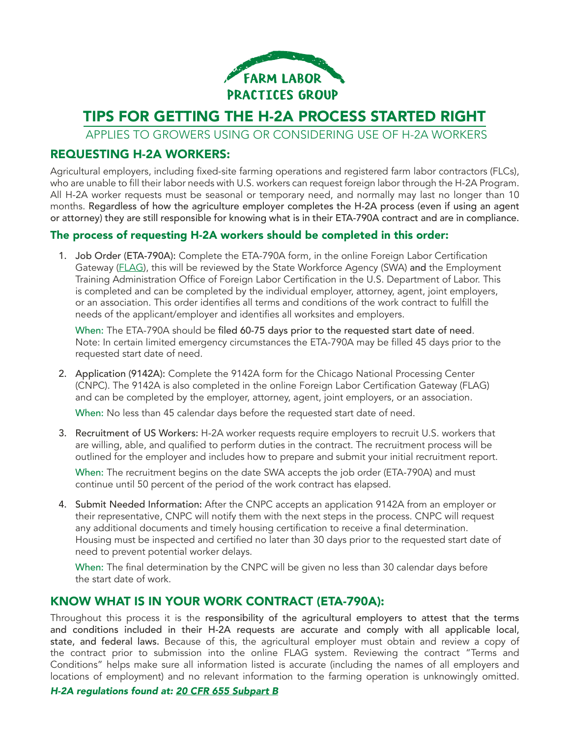

# TIPS FOR GETTING THE H-2A PROCESS STARTED RIGHT

APPLIES TO GROWERS USING OR CONSIDERING USE OF H-2A WORKERS

#### REQUESTING H-2A WORKERS:

Agricultural employers, including fixed-site farming operations and registered farm labor contractors (FLCs), who are unable to fill their labor needs with U.S. workers can request foreign labor through the H-2A Program. All H-2A worker requests must be seasonal or temporary need, and normally may last no longer than 10 months. Regardless of how the agriculture employer completes the H-2A process (even if using an agent or attorney) they are still responsible for knowing what is in their ETA-790A contract and are in compliance.

#### The process of requesting H-2A workers should be completed in this order:

1. Job Order (ETA-790A): Complete the ETA-790A form, in the online Foreign Labor Certification Gateway ([FLAG](https://flag.dol.gov/)), this will be reviewed by the State Workforce Agency (SWA) and the Employment Training Administration Office of Foreign Labor Certification in the U.S. Department of Labor. This is completed and can be completed by the individual employer, attorney, agent, joint employers, or an association. This order identifies all terms and conditions of the work contract to fulfill the needs of the applicant/employer and identifies all worksites and employers.

When: The ETA-790A should be filed 60-75 days prior to the requested start date of need. Note: In certain limited emergency circumstances the ETA-790A may be filled 45 days prior to the requested start date of need.

2. Application (9142A): Complete the 9142A form for the Chicago National Processing Center (CNPC). The 9142A is also completed in the online Foreign Labor Certification Gateway (FLAG) and can be completed by the employer, attorney, agent, joint employers, or an association.

When: No less than 45 calendar days before the requested start date of need.

3. Recruitment of US Workers: H-2A worker requests require employers to recruit U.S. workers that are willing, able, and qualified to perform duties in the contract. The recruitment process will be outlined for the employer and includes how to prepare and submit your initial recruitment report.

When: The recruitment begins on the date SWA accepts the job order (ETA-790A) and must continue until 50 percent of the period of the work contract has elapsed.

4. Submit Needed Information: After the CNPC accepts an application 9142A from an employer or their representative, CNPC will notify them with the next steps in the process. CNPC will request any additional documents and timely housing certification to receive a final determination. Housing must be inspected and certified no later than 30 days prior to the requested start date of need to prevent potential worker delays.

When: The final determination by the CNPC will be given no less than 30 calendar days before the start date of work.

#### KNOW WHAT IS IN YOUR WORK CONTRACT (ETA-790A):

Throughout this process it is the responsibility of the agricultural employers to attest that the terms and conditions included in their H-2A requests are accurate and comply with all applicable local, state, and federal laws. Because of this, the agricultural employer must obtain and review a copy of the contract prior to submission into the online FLAG system. Reviewing the contract "Terms and Conditions" helps make sure all information listed is accurate (including the names of all employers and locations of employment) and no relevant information to the farming operation is unknowingly omitted.

*H-2A regulations found at: [20 CFR 655 Subpart B](www.ecfr.gov/current/title-20/chapter-V/part-655/subpart-B?toc=1)*